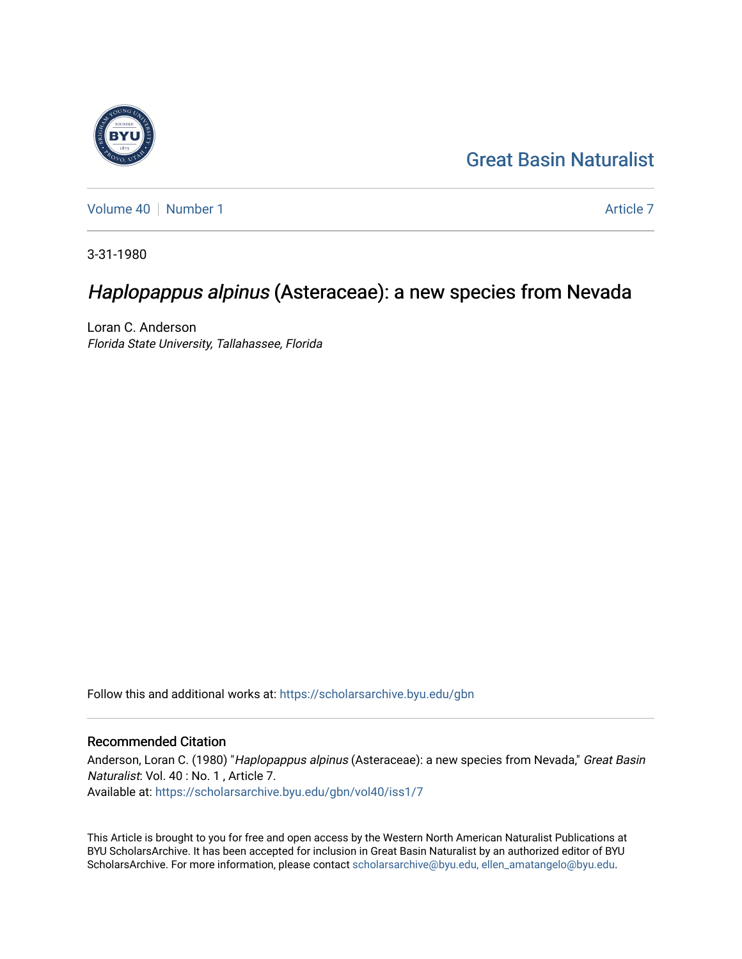# [Great Basin Naturalist](https://scholarsarchive.byu.edu/gbn)

[Volume 40](https://scholarsarchive.byu.edu/gbn/vol40) [Number 1](https://scholarsarchive.byu.edu/gbn/vol40/iss1) [Article 7](https://scholarsarchive.byu.edu/gbn/vol40/iss1/7) Article 7 Article 7 Article 7 Article 7 Article 7 Article 7

3-31-1980

# Haplopappus alpinus (Asteraceae): a new species from Nevada

Loran C. Anderson Florida State University, Tallahassee, Florida

Follow this and additional works at: [https://scholarsarchive.byu.edu/gbn](https://scholarsarchive.byu.edu/gbn?utm_source=scholarsarchive.byu.edu%2Fgbn%2Fvol40%2Fiss1%2F7&utm_medium=PDF&utm_campaign=PDFCoverPages) 

### Recommended Citation

Anderson, Loran C. (1980) "Haplopappus alpinus (Asteraceae): a new species from Nevada," Great Basin Naturalist: Vol. 40 : No. 1 , Article 7. Available at: [https://scholarsarchive.byu.edu/gbn/vol40/iss1/7](https://scholarsarchive.byu.edu/gbn/vol40/iss1/7?utm_source=scholarsarchive.byu.edu%2Fgbn%2Fvol40%2Fiss1%2F7&utm_medium=PDF&utm_campaign=PDFCoverPages)

This Article is brought to you for free and open access by the Western North American Naturalist Publications at BYU ScholarsArchive. It has been accepted for inclusion in Great Basin Naturalist by an authorized editor of BYU ScholarsArchive. For more information, please contact [scholarsarchive@byu.edu, ellen\\_amatangelo@byu.edu.](mailto:scholarsarchive@byu.edu,%20ellen_amatangelo@byu.edu)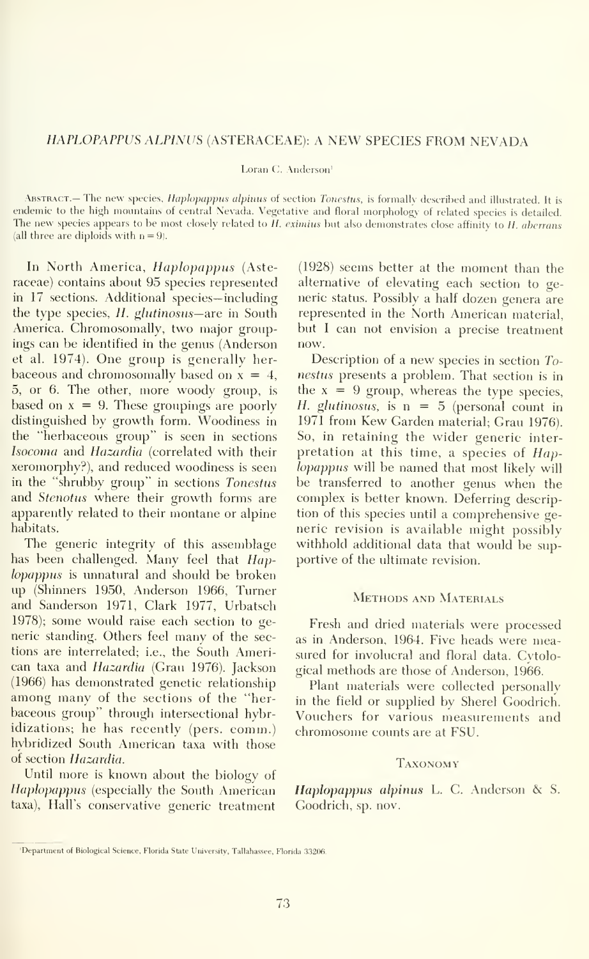#### HAPLOPAPPUS ALPINUS (ASTERACEAE): A NEW SPECIES FROM NEVADA

Loran C. Anderson<sup>1</sup>

ABSTRACT.— The new species, *Haplopappus alpinus* of section Tonestus, is formally described and illustrated. It is endemic to the high mountains of central Nevada. Vegetative and floral morphology of related species is detailed. The new species appears to be most closely related to  $H$ , eximius but also demonstrates close affinity to  $H$ , aberrans (all three are diploids with  $n = 9$ ).

In North America, Haplopappus (Asteraceae) contains about 95 species represented in 17 sections. Additional species— including the type species,  $H$ . glutinosus—are in South America. Chromosomally, two major groupings can be identified in the genus (Anderson et al. 1974). One group is generally herbaceous and chromosomally based on  $x = 4$ , 5, or 6. The other, more woody group, is based on  $x = 9$ . These groupings are poorly distinguished by growth form. Woodiness in the "herbaceous group" is seen in sections Isoconia and Hazardia (correlated with their xeromorphy?), and reduced woodiness is seen in the "shrubby group" in sections Tonestus and Stenotus where their growth forms are apparently related to their montane or alpine habitats.

The generic integrity of this assemblage has been challenged. Many feel that Haplopappus is unnatural and should be broken up (Shinners 1950, Anderson 1966, Turner and Sanderson 1971, Clark 1977, Urbatsch 1978); some would raise each section to generic standing. Others feel many of the sections are interrelated; i.e., the South American taxa and Hazardia (Grau 1976). Jackson (1966) has demonstrated genetic relationship among many of the sections of the "herbaceous group" through intersectional hybridizations; he has recently (pers. comm.) hybridized South American taxa with those of section Hazardia.

Until more is known about the biology of Haplopappus (especially the South American taxa), Hall's conservative generic treatment

(1928) seems better at the moment than the alternative of elevating each section to ge neric status. Possibly a half dozen genera are represented in the North American material, but <sup>I</sup> can not envision a precise treatment now.

Description of a new species in section  $T_{Q}$ nestus presents a problem. That section is in the  $x = 9$  group, whereas the type species, H. glutinosus, is  $n = 5$  (personal count in 1971 from Kew Garden material; Grau 1976). So, in retaining the wider generic inter pretation at this time, a species of Haplopappus will be named that most likely will be transferred to another genus when the complex is better known. Deferring description of this species until a comprehensive ge neric revision is available might possibly withhold additional data that would be supportive of the ultimate revision.

#### METHODS AND MATERIALS

Fresh and dried materials were processed as in Anderson, 1964. Five heads were mea sured for involucral and floral data. Cytological methods are those of Anderson, 1966.

Plant materials were collected personally in the field or supplied by Sherel Goodrich. Vouchers for various measurements and chromosome counts are at FSU.

#### Taxonomy

Haplopappus alpinus L. C. Anderson & S. Goodrich, sp. nov.

<sup>&#</sup>x27;Department of Biological Science, Florida State University, Tallahassee, Florida 33206.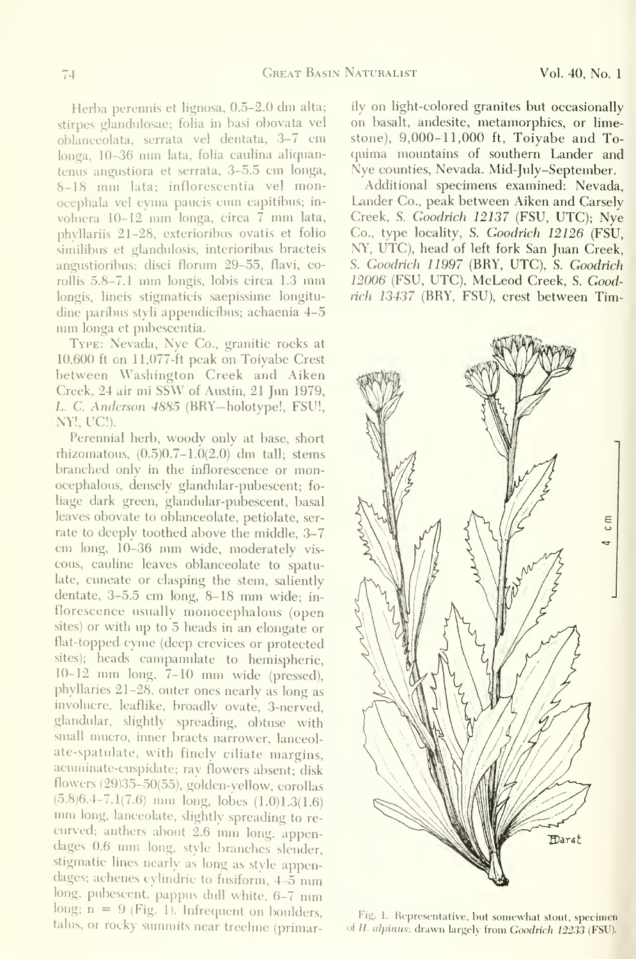Herba perennis et lignosa, 0.5-2.0 dm alta; stirpes glandulosae; folia in basi obovata vel oblanceolata, serrata vel dentata, 3-7 cm longa, 10-36 mm lata, folia caulina aliquantemis angustiora et serrata, 3-5.5 cm longa, 8-18 mm lata; inflorescentia vel monocephala vel cyma paucis cum capitibus; in volucra 10-12 mm longa, circa <sup>7</sup> mm lata, phyllariis 21-28, exterioribus ovatis et folio similibus et glandulosis, interioribus bracteis angustioribus; disci florum 29-55, flavi, corollis 5.8-7.1 mm longis, lobis circa 1.3 mm longis, lineis stigmaticis saepissime longitudine paribus styli appendicibus; achaenia 4-5 mm longa et pubescentia.

Type: Nevada, Nye Co., granitic rocks at 10,600 ft on 11,077-ft peak on Toiyabe Crest between Washington Creek and Aiken Creek, <sup>24</sup> air mi SSW of Austin, <sup>21</sup> Jun 1979, L. C. Anderson 4885 (BRY-holotype!, FSU!, NY!, UC!).

Perennial herb, woody only at base, short rhizomatous,  $(0.5)0.7-1.0(2.0)$  dm tall; stems branched only in the inflorescence or monocephalous, densely glandular-pubescent; fo liage dark green, glandular-pubescent, basal leaves obovate to oblanceolate, petiolate, ser rate to deeply toothed above the middle, 3-7 cm long, 10-36 mm wide, moderately vis cous, cauline leaves oblanceolate to spatulate, cuneate or clasping the stem, saliently dentate, 3-5.5 cm long, 8-18 mm wide; in florescence usually monocephalous (open sites) or with up to 5 heads in an elongate or flat-topped cyme (deep crevices or protected sites); heads campanulate to hemispheric, 10-12 mm long, 7-10 mm wide (pressed), phyllaries 21-28, outer ones nearly as long as involucre, leaflike, broadly ovate, 3-nerved, glandular, slightly spreading, obtuse with small mucro, inner bracts narrower, lanceol ate-spatulate, with finely ciliate margins, acuminate-cuspidate; ray flowers absent; disk flowers (29)35-50(55), golden-yellow, corollas  $(5.8)6.4-7.1(7.6)$  mm long, lobes  $(1.0)1.3(1.6)$  mm long, lanceolate, slightly spreading to recurved; anthers about 2.6 mm long, appendages 0.6 mm long, style branches slender, stigmatic lines nearly as long as style appendages; achenes cylindric to fusiform, 4-5 mm long, pubescent, pappus dull white, 6-7 mm long;  $n = 9$  (Fig. 1). Infrequent on boulders, talus, or rocky summits near treeline (primarily on light-colored granites but occasionally on basalt, andesite, metamorphics, or limestone),  $9,000-11,000$  ft, Toiyabe and Toquima mountains of southern Lander and Nye counties, Nevada. Mid-July-September.

Additional specimens examined: Nevada, Lander Co., peak between Aiken and Carsely Creek, S. Goodrich 12137 (FSU, UTC); Nye Co., type locality, S. Goodrich 12126 (FSU, NY, UTC), head of left fork San Juan Creek, S. Goodrich 11997 (BRY, UTC), S. Goodrich 12006 (FSU, UTC), McLeod Creek, S. Goodrich 13437 (BRY, FSU), crest between Tim-



Fig. 1. Representative, but somewhat stout, specimen of H. alpinus; drawn largely from Goodrich 12233 (FSU).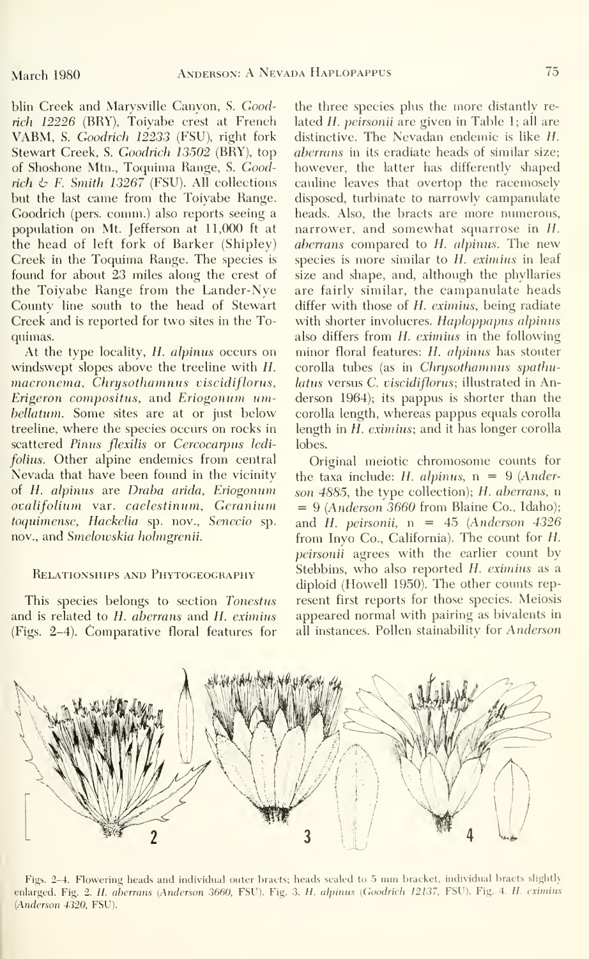blin Creek and Marysville Canyon, S. Goodrich 12226 (BRY), Toiyabe crest at French VABM, S. Goodrich 12233 (FSU), right fork Stewart Creek, S. Goodrich 13502 (BRY), top of Shoshone Mtn., Toquima Range, S. Goodrich  $\&$  F. Smith 13267 (FSU). All collections but the last came from the Toiyabe Range. Goodrich (pers. comm.) also reports seeing a population on Mt. Jefferson at 11,000 ft at the head of left fork of Barker (Shipley) Creek in the Toquima Range. The species is found for about 23 miles along the crest of the Toiyabe Range from the Lander-Nye County line south to the head of Stewart Creek and is reported for two sites in the Toquimas.

At the type locality, H. alpinus occurs on windswept slopes above the treeline with H. macronema, Chrysothamnus viscidiflorus, Erigeron compositus, and Eriogonum umbellatum. Some sites are at or just below treeline, where the species occurs on rocks in scattered Pinus flexilis or Cercocarpus ledifolius. Other alpine endemics from central Nevada that have been found in the vicinity of H. alpinus are Draba arida, Eriogonum ovalifolium var. caelestinum, Geranium toquimense, Hackelia sp. nov., Senecio sp. nov., and Smelowskia holmgrenii.

### Relationships and Phytogeography

This species belongs to section Tonestus and is related to H. aberrans and H. eximius (Figs. 2-4). Comparative floral features for

the three species plus the more distantly re lated H. peirsonii are given in Table 1; all are distinctive. The Nevadan endemic is like  $H$ . abcrrans in its eradiate heads of similar size; however, the latter has differently shaped cauline leaves that overtop the racemosely disposed, turbinate to narrowly campanulate heads. Also, the bracts are more numerous, narrower, and somewhat squarrose in H. aberrans compared to H. alpinus. The new species is more similar to H. eximing in leaf size and shape, and, although the phyllaries are fairly similar, the campanulate heads differ with those of H. eximius, being radiate with shorter involucres. Haploppapus alpinus also differs from H. eximius in the following minor floral features: H. alpinus has stouter corolla tubes (as in Chrysothamnus spathulatus versus C. viscidiflorus; illustrated in Anderson 1964); its pappus is shorter than the corolla length, whereas pappus equals corolla length in H. eximins; and it has longer corolla lobes.

Original meiotic chromosome counts for the taxa include: H. alpinus,  $n = 9$  (Anderson 4885, the type collection); H. aberrans, n  $= 9$  (Anderson 3660 from Blaine Co., Idaho); and H. peirsonii, n =  $45$  (Anderson  $4326$ ) from Inyo Co., California). The count for H. peirsonii agrees with the earlier count by Stebbins, who also reported H. eximins as a diploid (Howell 1950). The other counts represent first reports for those species. Meiosis appeared normal with pairing as bivalents in all instances. Pollen stainability for Anderson



Figs. 2-4. Flowering heads and individual outer bracts; heads scaled to <sup>5</sup> mm bracket, individual bracts slightly enlarged. Fig. 2. H. aberrans (Anderson 3660, FSU). Fig. 3. H. alpinus (Goodrich 12137, FSU). Fig. 4. H. eximius [Anderson 4320, FSU).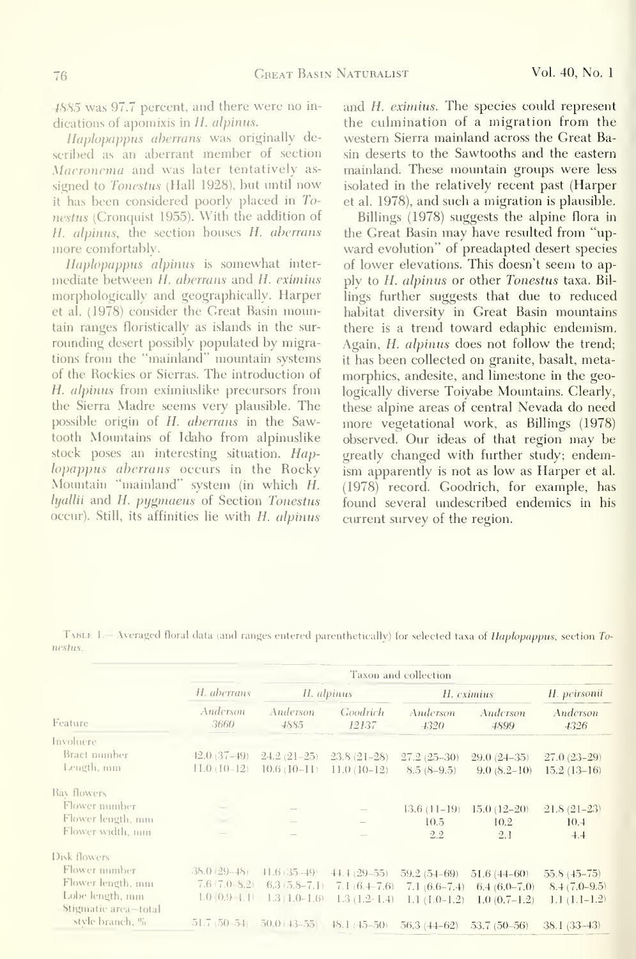4885 was 97.7 percent, and there were no in dications of apomixis in H. alpinus.

Haplopappus aberrans was originally de scribed as an aberrant member of section Macronema and was later tentatively as signed to Tonestus (Hall 1928), but until now it has been considered poorly placed in Tonestus (Cronquist 1955). With the addition of H. alpinus, the section houses H. aberrans more comfortably.

Haplopappus alpinus is somewhat intermediate between H. aberrans and H. eximius morphologically and geographically. Harper et al. (1978) consider the Great Basin mountain ranges floristically as islands in the surrounding desert possibly populated by migrations from the "mainland" mountain systems of the Rockies or Sierras. The introduction of H. alpinus from eximiuslike precursors from the Sierra Madre seems very plausible. The possible origin of H. aberrans in the Sawtooth Mountains of Idaho from alpinuslike stock poses an interesting situation. Haplopappus aberrans occurs in the Rocky Mountain "mainland" system (in which H. hyallii and H. pygmaeus of Section Tonestus occur). Still, its affinities lie with H. alpinus and H. eximius. The species could represent the culmination of a migration from the western Sierra mainland across the Great Basin deserts to the Sawtooths and the eastern mainland. These mountain groups were less isolated in the relatively recent past (Harper et al. 1978), and such a migration is plausible.

Billings (1978) suggests the alpine flora in the Great Basin may have resulted from "upward evolution" of preadapted desert species of lower elevations. This doesn't seem to apply to H. alpinus or other Tonestus taxa. Bil lings further suggests that due to reduced habitat diversity in Great Basin mountains there is a trend toward edaphic endemism. Again, H. alpinus does not follow the trend; it has been collected on granite, basalt, metamorphics, andesite, and limestone in the geologically diverse Toiyabe Mountains. Clearly, these alpine areas of central Nevada do need more vegetational work, as Billings (1978) observed. Our ideas of that region may be greatly changed with further study; endemism apparently is not as low as Harper et al. (1978) record. Goodrich, for example, has found several undescribed endemics in his current survey of the region.

TABLE 1.— Averaged floral data (and ranges entered parenthetically) for selected taxa of Haplopappus, section Tonestus.

| Feature                                 | Taxon and collection            |                             |                   |                             |                  |                  |
|-----------------------------------------|---------------------------------|-----------------------------|-------------------|-----------------------------|------------------|------------------|
|                                         | H. aberrans<br>Anderson<br>3660 | H. alpinus                  |                   | H. eximius                  |                  | H. peirsonii     |
|                                         |                                 | Anderson<br>4885            | Goodrich<br>12137 | Anderson<br>4320            | Anderson<br>4899 | Anderson<br>4326 |
| Involuere.                              |                                 |                             |                   |                             |                  |                  |
| Bract number                            | $-42.0(37-49)$                  | $24.2(21-25)$ $23.8(21-28)$ |                   | $27.2(25-30)$               | $29.0(24-35)$    | $27.0(23-29)$    |
| Length, mm                              | $11.0(10-12)$                   | $10.6(10-11)$               | $11.0(10-12)$     | $8.5(8-9.5)$                | $9.0 (8.2 - 10)$ | $15.2(13-16)$    |
| Ray flowers                             |                                 |                             |                   |                             |                  |                  |
| Flower number                           |                                 |                             |                   | $13.6(11-19)$               | $15.0(12-20)$    | $21.8(21-23)$    |
| Flower length, mm                       |                                 |                             |                   | 10.5                        | 10.2             | 10.4             |
| Flower width, mm                        |                                 | $\overline{\phantom{a}}$    |                   | 2.2                         | 2.1              | 4.4              |
| Disk flowers                            |                                 |                             |                   |                             |                  |                  |
| Flower number                           | $38.0(29 - 48)$                 | $41.6 + 35 - 49$            | $+4.4(29-55)$     | $59.2(54-69)$               | $51.6(44-60)$    | $55.8(45 - 75)$  |
| Flower length, mm                       | $7.6 \mid 7.0 - S.2 \mid$       | $6.3(5.8-7.1)$              | $7.1(6.4-7.6)$    | $7.1(6.6-7.4)$              | $6.4(6.0-7.0)$   | $8.4(7.0-9.5)$   |
| Lobe length, mm<br>Stigmatic area-total |                                 | $1.0$ (0.9 1.1 1.3 1.0-1.6) | $1.3(1.2-1.4)$    | $1.1(1.0-1.2)$              | $1.0(0.7-1.2)$   | $1.1(1.1-1.2)$   |
| style branch, $\%$                      | $51.7, 50-54$                   | $50.0 + 3 - 55$             | $-48.1 (+15-50)$  | $56.3(44-62)$ $53.7(50-56)$ |                  | 38.1 (33–43)     |